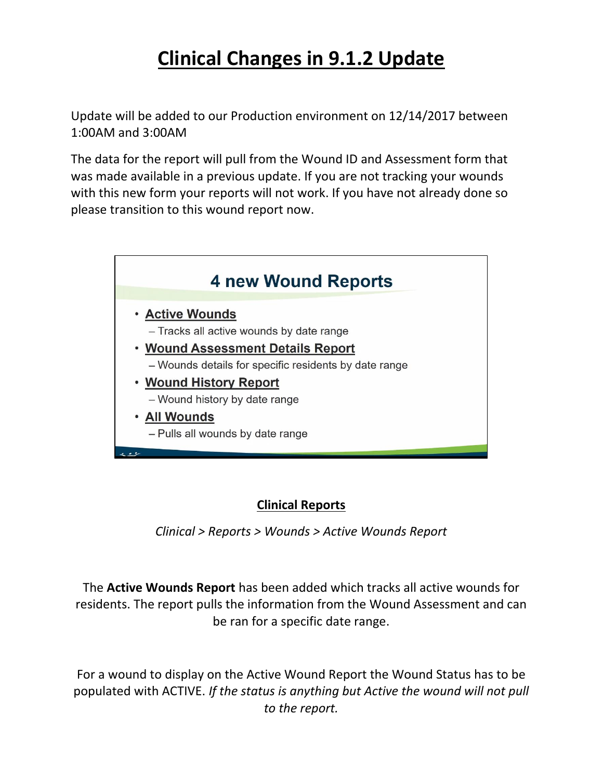# **Clinical Changes in 9.1.2 Update**

Update will be added to our Production environment on 12/14/2017 between 1:00AM and 3:00AM

The data for the report will pull from the Wound ID and Assessment form that was made available in a previous update. If you are not tracking your wounds with this new form your reports will not work. If you have not already done so please transition to this wound report now.



# **Clinical Reports**

*Clinical > Reports > Wounds > Active Wounds Report*

The **Active Wounds Report** has been added which tracks all active wounds for residents. The report pulls the information from the Wound Assessment and can be ran for a specific date range.

For a wound to display on the Active Wound Report the Wound Status has to be populated with ACTIVE. *If the status is anything but Active the wound will not pull to the report.*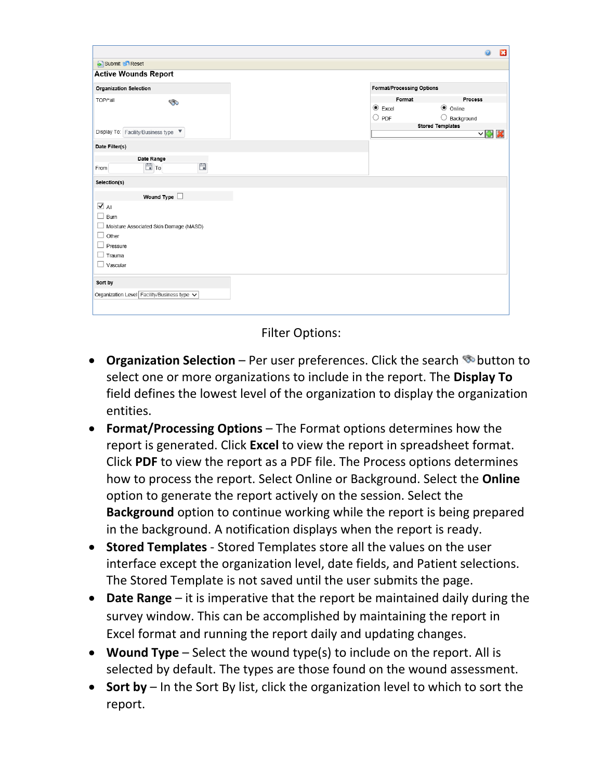|                                             | ø                                                 | $\mathbf{E}$ |
|---------------------------------------------|---------------------------------------------------|--------------|
| Submit & Reset                              |                                                   |              |
| <b>Active Wounds Report</b>                 |                                                   |              |
| <b>Organization Selection</b>               | <b>Format/Processing Options</b>                  |              |
| TOP/*all<br>ಾ                               | Process<br>Format                                 |              |
|                                             | $\odot$ Excel<br>$\odot$ Online<br>$\bigcirc$ PDF |              |
|                                             | $\bigcirc$ Background<br><b>Stored Templates</b>  |              |
| Display To: Facility/Business type ▼        | ▽ 中 义                                             |              |
| Date Filter(s)                              |                                                   |              |
| Date Range<br>Ö<br>$\Box$ To<br>From        |                                                   |              |
| Selection(s)                                |                                                   |              |
| Wound Type $\square$                        |                                                   |              |
| $\overline{\mathbf{v}}$ All                 |                                                   |              |
| $\overline{\phantom{a}}$<br>Burn            |                                                   |              |
| Moisture Associated Skin Damage (MASD)<br>ப |                                                   |              |
| $\Box$ Other                                |                                                   |              |
| Pressure<br>Trauma                          |                                                   |              |
| Vascular                                    |                                                   |              |
|                                             |                                                   |              |
| Sort by                                     |                                                   |              |
| Organization Level Facility/Business type V |                                                   |              |
|                                             |                                                   |              |
|                                             |                                                   |              |

Filter Options:

- **Organization Selection** Per user preferences. Click the search **button to** select one or more organizations to include in the report. The **Display To** field defines the lowest level of the organization to display the organization entities.
- **Format/Processing Options** The Format options determines how the report is generated. Click **Excel** to view the report in spreadsheet format. Click **PDF** to view the report as a PDF file. The Process options determines how to process the report. Select Online or Background. Select the **Online** option to generate the report actively on the session. Select the **Background** option to continue working while the report is being prepared in the background. A notification displays when the report is ready.
- **Stored Templates** Stored Templates store all the values on the user interface except the organization level, date fields, and Patient selections. The Stored Template is not saved until the user submits the page.
- **Date Range** it is imperative that the report be maintained daily during the survey window. This can be accomplished by maintaining the report in Excel format and running the report daily and updating changes.
- **Wound Type** Select the wound type(s) to include on the report. All is selected by default. The types are those found on the wound assessment.
- **Sort by** In the Sort By list, click the organization level to which to sort the report.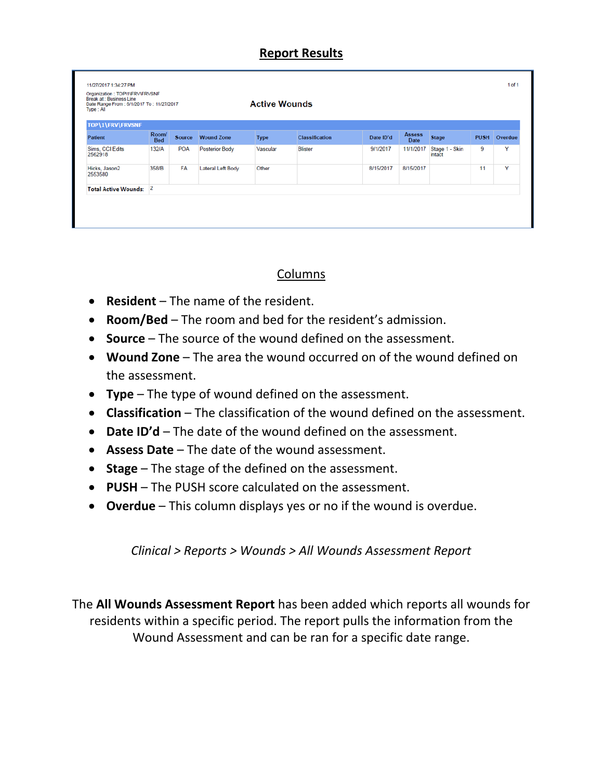#### **Report Results**

| Organization : TOP\1\FRV\FRVSNF<br><b>Break at: Business Line</b><br>Date Range From: 6/1/2017 To: 11/27/2017<br>Type: All |                     |            |                       | <b>Active Wounds</b> |                |           |                       |                          |             |         |
|----------------------------------------------------------------------------------------------------------------------------|---------------------|------------|-----------------------|----------------------|----------------|-----------|-----------------------|--------------------------|-------------|---------|
| TOP\1\FRV\FRVSNF<br><b>Patient</b>                                                                                         | Room/<br><b>Bed</b> | Source     | <b>Wound Zone</b>     | <b>Type</b>          | Classification | Date ID'd | <b>Assess</b><br>Date | <b>Stage</b>             | <b>PUSH</b> | Overdue |
| Sims, CCI Edits<br>2562918                                                                                                 | 132/A               | <b>POA</b> | <b>Posterior Body</b> | Vascular             | <b>Blister</b> | 9/1/2017  | 11/1/2017             | Stage 1 - Skin<br>intact | 9           | Y       |
| Hicks, Jason2<br>2553580                                                                                                   | 358/B               | <b>FA</b>  | Lateral Left Body     | Other                |                | 8/15/2017 | 8/15/2017             |                          | 11          | Y       |
| Total Active Wounds: 2                                                                                                     |                     |            |                       |                      |                |           |                       |                          |             |         |

### Columns

- **Resident** The name of the resident.
- **Room/Bed** The room and bed for the resident's admission.
- **Source** The source of the wound defined on the assessment.
- **Wound Zone** The area the wound occurred on of the wound defined on the assessment.
- **Type** The type of wound defined on the assessment.
- **Classification** The classification of the wound defined on the assessment.
- **Date ID'd** The date of the wound defined on the assessment.
- **Assess Date** The date of the wound assessment.
- **Stage** The stage of the defined on the assessment.
- **PUSH** The PUSH score calculated on the assessment.
- **Overdue** This column displays yes or no if the wound is overdue.

*Clinical > Reports > Wounds > All Wounds Assessment Report*

The **All Wounds Assessment Report** has been added which reports all wounds for residents within a specific period. The report pulls the information from the Wound Assessment and can be ran for a specific date range.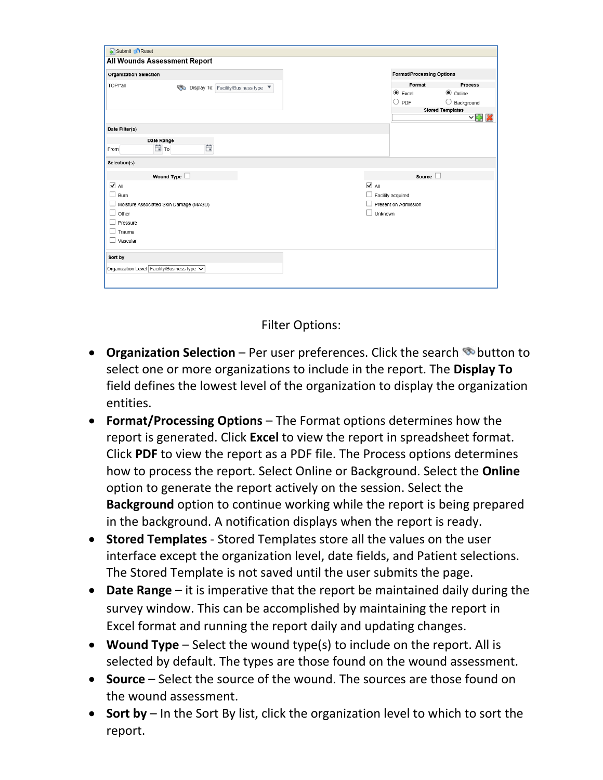| Submit & Reset                                 |                             |                                  |                       |
|------------------------------------------------|-----------------------------|----------------------------------|-----------------------|
| All Wounds Assessment Report                   |                             |                                  |                       |
| Organization Selection                         |                             | <b>Format/Processing Options</b> |                       |
| TOP/*all<br>Display To: Facility/Business type |                             | Format                           | <b>Process</b>        |
|                                                |                             | $\odot$ Excel                    | $\odot$ Online        |
|                                                |                             | $\bigcirc$ PDF                   | $\bigcirc$ Background |
|                                                |                             | <b>Stored Templates</b>          | $\vee \oplus x$       |
| Date Filter(s)                                 |                             |                                  |                       |
| Date Range                                     |                             |                                  |                       |
| Ö<br>白 To<br>From                              |                             |                                  |                       |
| Selection(s)                                   |                             |                                  |                       |
| Wound Type $\Box$                              |                             | Source $\square$                 |                       |
| $\overline{\blacktriangleleft}$ All            | $\overline{\mathbf{v}}$ All |                                  |                       |
| Burn                                           | $\Box$ Facility acquired    |                                  |                       |
| Moisture Associated Skin Damage (MASD)         | п                           | Present on Admission             |                       |
| L<br>Other                                     | $\Box$ Unknown              |                                  |                       |
| Pressure                                       |                             |                                  |                       |
| Trauma                                         |                             |                                  |                       |
| Vascular                                       |                             |                                  |                       |
| Sort by                                        |                             |                                  |                       |
| Organization Level Facility/Business type v    |                             |                                  |                       |
|                                                |                             |                                  |                       |
|                                                |                             |                                  |                       |

Filter Options:

- **Organization Selection** Per user preferences. Click the search **button to** select one or more organizations to include in the report. The **Display To** field defines the lowest level of the organization to display the organization entities.
- **Format/Processing Options** The Format options determines how the report is generated. Click **Excel** to view the report in spreadsheet format. Click **PDF** to view the report as a PDF file. The Process options determines how to process the report. Select Online or Background. Select the **Online** option to generate the report actively on the session. Select the **Background** option to continue working while the report is being prepared in the background. A notification displays when the report is ready.
- **Stored Templates** Stored Templates store all the values on the user interface except the organization level, date fields, and Patient selections. The Stored Template is not saved until the user submits the page.
- **Date Range** it is imperative that the report be maintained daily during the survey window. This can be accomplished by maintaining the report in Excel format and running the report daily and updating changes.
- **Wound Type** Select the wound type(s) to include on the report. All is selected by default. The types are those found on the wound assessment.
- **Source**  Select the source of the wound. The sources are those found on the wound assessment.
- **Sort by** In the Sort By list, click the organization level to which to sort the report.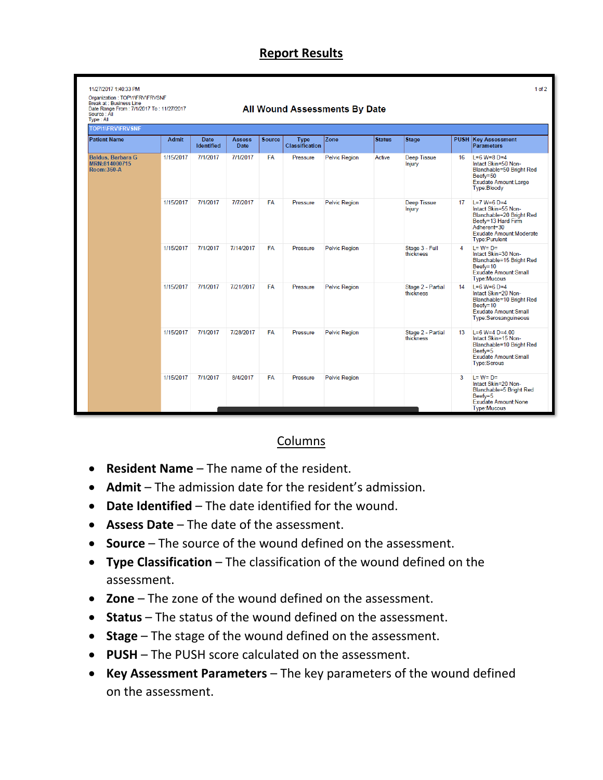### **Report Results**

| Organization: TOP\1\FRV\FRVSNF<br><b>Break at: Business Line</b><br>Date Range From: 7/1/2017 To: 11/27/2017<br>Source: All<br>Type: All |           |                                  |                       |               |                                      | All Wound Assessments By Date |               |                                |    |                                                                                                                                                            |
|------------------------------------------------------------------------------------------------------------------------------------------|-----------|----------------------------------|-----------------------|---------------|--------------------------------------|-------------------------------|---------------|--------------------------------|----|------------------------------------------------------------------------------------------------------------------------------------------------------------|
| <b>TOP\1\FRV\FRVSNF</b>                                                                                                                  |           |                                  |                       |               |                                      |                               |               |                                |    |                                                                                                                                                            |
| <b>Patient Name</b>                                                                                                                      | Admit     | <b>Date</b><br><b>Identified</b> | <b>Assess</b><br>Date | <b>Source</b> | <b>Type</b><br><b>Classification</b> | <b>Zone</b>                   | <b>Status</b> | <b>Stage</b>                   |    | <b>PUSH Key Assessment</b><br>Parameters                                                                                                                   |
| <b>Baldus, Barbara G</b><br>MRN:814000715<br>Room:360-A                                                                                  | 1/15/2017 | 7/1/2017                         | 7/1/2017              | <b>FA</b>     | Pressure                             | <b>Pelvic Region</b>          | Active        | <b>Deep Tissue</b><br>Injury   | 16 | $L=6$ W=8 D=4<br>Intact Skin=50 Non-<br>Blanchable=50 Bright Red<br>Beefy=50<br>Exudate Amount:Large<br>Type:Bloody                                        |
|                                                                                                                                          | 1/15/2017 | 7/1/2017                         | 7/7/2017              | <b>FA</b>     | Pressure                             | <b>Pelvic Region</b>          |               | <b>Deep Tissue</b><br>Injury   | 17 | $L = 7$ W=6 D=4<br>Intact Skin=55 Non-<br>Blanchable=20 Bright Red<br>Beefy=13 Hard Firm<br>Adherent=30<br><b>Exudate Amount:Moderate</b><br>Type:Purulent |
|                                                                                                                                          | 1/15/2017 | 7/1/2017                         | 7/14/2017             | <b>FA</b>     | Pressure                             | <b>Pelvic Region</b>          |               | Stage 3 - Full<br>thickness    | 4  | $L = W = D =$<br>Intact Skin=30 Non-<br>Blanchable=15 Bright Red<br>Beefy=10<br>Exudate Amount:Small<br><b>Type:Mucous</b>                                 |
|                                                                                                                                          | 1/15/2017 | 7/1/2017                         | 7/21/2017             | <b>FA</b>     | Pressure                             | <b>Pelvic Region</b>          |               | Stage 2 - Partial<br>thickness | 14 | $L=6$ W=6 D=4<br>Intact Skin=20 Non-<br>Blanchable=10 Bright Red<br>Beefy=10<br><b>Exudate Amount:Small</b><br>Type:Serosanguineous                        |
|                                                                                                                                          | 1/15/2017 | 7/1/2017                         | 7/28/2017             | <b>FA</b>     | Pressure                             | <b>Pelvic Region</b>          |               | Stage 2 - Partial<br>thickness | 13 | $L=6$ W=4 D=4.00<br>Intact Skin=15 Non-<br>Blanchable=10 Bright Red<br>Beefy=5<br><b>Exudate Amount:Small</b><br>Type:Serous                               |
|                                                                                                                                          | 1/15/2017 | 7/1/2017                         | 8/4/2017              | <b>FA</b>     | Pressure                             | <b>Pelvic Region</b>          |               |                                | 3  | $L = W = D =$<br>Intact Skin=20 Non-<br>Blanchable=5 Bright Red<br>Beefy=5<br>Exudate Amount:None<br><b>Type:Mucous</b>                                    |

#### Columns

- **Resident Name** The name of the resident.
- **Admit** The admission date for the resident's admission.
- **Date Identified** The date identified for the wound.
- **Assess Date** The date of the assessment.
- **Source** The source of the wound defined on the assessment.
- **Type Classification** The classification of the wound defined on the assessment.
- **Zone** The zone of the wound defined on the assessment.
- **Status** The status of the wound defined on the assessment.
- **Stage** The stage of the wound defined on the assessment.
- **PUSH** The PUSH score calculated on the assessment.
- **Key Assessment Parameters** The key parameters of the wound defined on the assessment.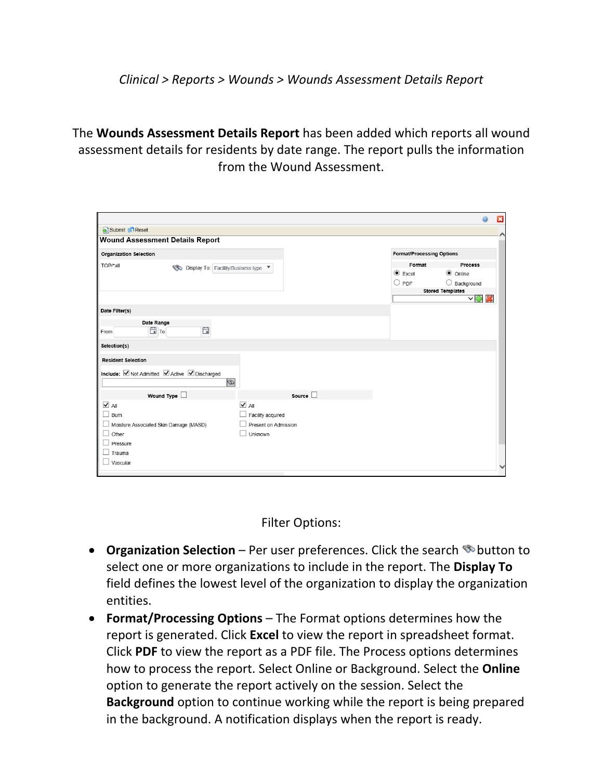*Clinical > Reports > Wounds > Wounds Assessment Details Report*

The **Wounds Assessment Details Report** has been added which reports all wound assessment details for residents by date range. The report pulls the information from the Wound Assessment.

|                                   |                                               |                             |        |                                  | ā                           | $\mathbf{a}$ |
|-----------------------------------|-----------------------------------------------|-----------------------------|--------|----------------------------------|-----------------------------|--------------|
| Submit & Reset                    |                                               |                             |        |                                  |                             |              |
|                                   | <b>Wound Assessment Details Report</b>        |                             |        |                                  |                             |              |
| <b>Organization Selection</b>     |                                               |                             |        | <b>Format/Processing Options</b> |                             |              |
| TOP/*all                          | Display To: Facility/Business type            |                             |        | Format                           | <b>Process</b>              |              |
|                                   |                                               |                             |        | $\odot$ Excel                    | $\odot$ Online              |              |
|                                   |                                               |                             |        | O<br>PDF                         | $\bigcirc$ Background       |              |
|                                   |                                               |                             |        |                                  | <b>Stored Templates</b>     |              |
|                                   |                                               |                             |        |                                  | $\vee$ $\oplus$ $\boxtimes$ |              |
| Date Filter(s)                    |                                               |                             |        |                                  |                             |              |
|                                   | Date Range                                    |                             |        |                                  |                             |              |
| From                              | Ë<br>白 To                                     |                             |        |                                  |                             |              |
|                                   |                                               |                             |        |                                  |                             |              |
| Selection(s)                      |                                               |                             |        |                                  |                             |              |
| <b>Resident Selection</b>         |                                               |                             |        |                                  |                             |              |
|                                   | Include: Ø Not Admitted Ø Active Ø Discharged |                             |        |                                  |                             |              |
|                                   | ø                                             |                             |        |                                  |                             |              |
|                                   | Wound Type $\square$                          |                             | Source |                                  |                             |              |
| $\sqrt{ }$ All                    |                                               | $\overline{\mathbf{V}}$ All |        |                                  |                             |              |
| Burn<br>$\overline{\phantom{0}}$  |                                               | Facility acquired           |        |                                  |                             |              |
|                                   | Moisture Associated Skin Damage (MASD)        | Present on Admission        |        |                                  |                             |              |
| $\overline{\phantom{0}}$<br>Other |                                               | Unknown                     |        |                                  |                             |              |
| Pressure                          |                                               |                             |        |                                  |                             |              |
| Trauma                            |                                               |                             |        |                                  |                             |              |
| Vascular                          |                                               |                             |        |                                  |                             |              |
|                                   |                                               |                             |        |                                  |                             | ◡            |

Filter Options:

- **Organization Selection** Per user preferences. Click the search **button to** select one or more organizations to include in the report. The **Display To** field defines the lowest level of the organization to display the organization entities.
- **Format/Processing Options** The Format options determines how the report is generated. Click **Excel** to view the report in spreadsheet format. Click **PDF** to view the report as a PDF file. The Process options determines how to process the report. Select Online or Background. Select the **Online** option to generate the report actively on the session. Select the **Background** option to continue working while the report is being prepared in the background. A notification displays when the report is ready.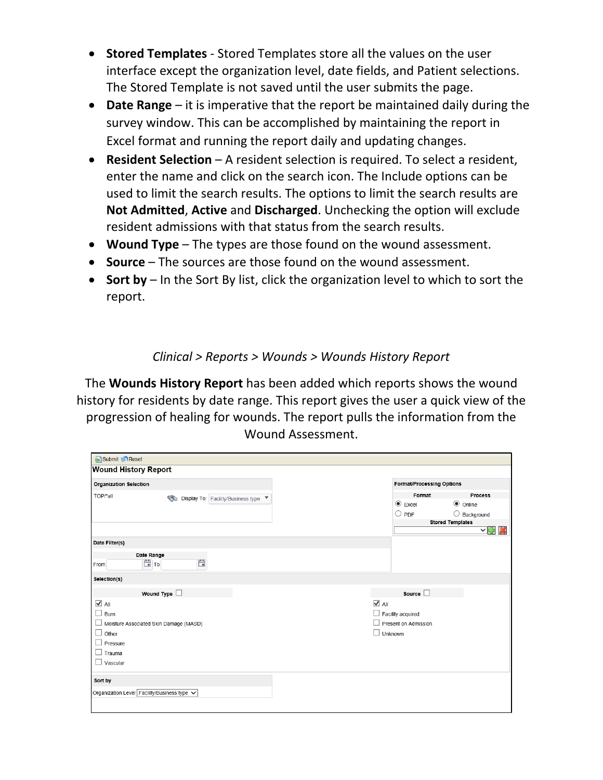- **Stored Templates** Stored Templates store all the values on the user interface except the organization level, date fields, and Patient selections. The Stored Template is not saved until the user submits the page.
- **Date Range** it is imperative that the report be maintained daily during the survey window. This can be accomplished by maintaining the report in Excel format and running the report daily and updating changes.
- **Resident Selection** A resident selection is required. To select a resident, enter the name and click on the search icon. The Include options can be used to limit the search results. The options to limit the search results are **Not Admitted**, **Active** and **Discharged**. Unchecking the option will exclude resident admissions with that status from the search results.
- **Wound Type** The types are those found on the wound assessment.
- **Source**  The sources are those found on the wound assessment.
- **Sort by** In the Sort By list, click the organization level to which to sort the report.

### *Clinical > Reports > Wounds > Wounds History Report*

The **Wounds History Report** has been added which reports shows the wound history for residents by date range. This report gives the user a quick view of the progression of healing for wounds. The report pulls the information from the Wound Assessment.

| Submit & Reset                                   |                                     |                                                  |
|--------------------------------------------------|-------------------------------------|--------------------------------------------------|
| <b>Wound History Report</b>                      |                                     |                                                  |
| <b>Organization Selection</b>                    | Format/Processing Options           |                                                  |
| TOP/*all<br>Display To: Facility/Business type   | Format                              | Process                                          |
|                                                  | $\odot$ Excel                       | $\odot$ Online                                   |
|                                                  | $\bigcirc$ PDF                      | $\bigcirc$ Background<br><b>Stored Templates</b> |
|                                                  |                                     | ㅇ다<br>$\boldsymbol{\mathcal{X}}$                 |
| Date Filter(s)                                   |                                     |                                                  |
| Date Range<br>Ö<br>白 To<br>From                  |                                     |                                                  |
| Selection(s)                                     |                                     |                                                  |
| Wound Type $\Box$                                | Source $\square$                    |                                                  |
| $\overline{\blacktriangleleft}$ All              | $\overline{\blacktriangleleft}$ All |                                                  |
| $\overline{\phantom{a}}$<br>Burn                 | Facility acquired                   |                                                  |
| $\Box$<br>Moisture Associated Skin Damage (MASD) | Present on Admission                |                                                  |
| $\mathcal{L}_{\mathcal{A}}$<br>Other             | Unknown                             |                                                  |
| $\overline{\phantom{a}}$<br>Pressure             |                                     |                                                  |
| $\Box$<br>Trauma                                 |                                     |                                                  |
| $\Box$ Vascular                                  |                                     |                                                  |
| Sort by                                          |                                     |                                                  |
| Organization Level Facility/Business type V      |                                     |                                                  |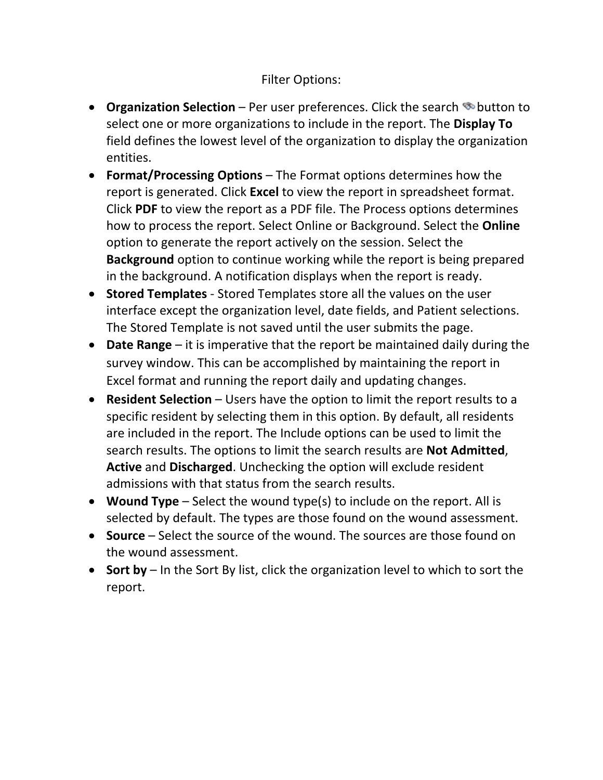#### Filter Options:

- **Organization Selection** Per user preferences. Click the search **button to** select one or more organizations to include in the report. The **Display To** field defines the lowest level of the organization to display the organization entities.
- **Format/Processing Options** The Format options determines how the report is generated. Click **Excel** to view the report in spreadsheet format. Click **PDF** to view the report as a PDF file. The Process options determines how to process the report. Select Online or Background. Select the **Online** option to generate the report actively on the session. Select the **Background** option to continue working while the report is being prepared in the background. A notification displays when the report is ready.
- **Stored Templates** Stored Templates store all the values on the user interface except the organization level, date fields, and Patient selections. The Stored Template is not saved until the user submits the page.
- **Date Range** it is imperative that the report be maintained daily during the survey window. This can be accomplished by maintaining the report in Excel format and running the report daily and updating changes.
- **Resident Selection** Users have the option to limit the report results to a specific resident by selecting them in this option. By default, all residents are included in the report. The Include options can be used to limit the search results. The options to limit the search results are **Not Admitted**, **Active** and **Discharged**. Unchecking the option will exclude resident admissions with that status from the search results.
- **Wound Type** Select the wound type(s) to include on the report. All is selected by default. The types are those found on the wound assessment.
- **Source**  Select the source of the wound. The sources are those found on the wound assessment.
- **Sort by** In the Sort By list, click the organization level to which to sort the report.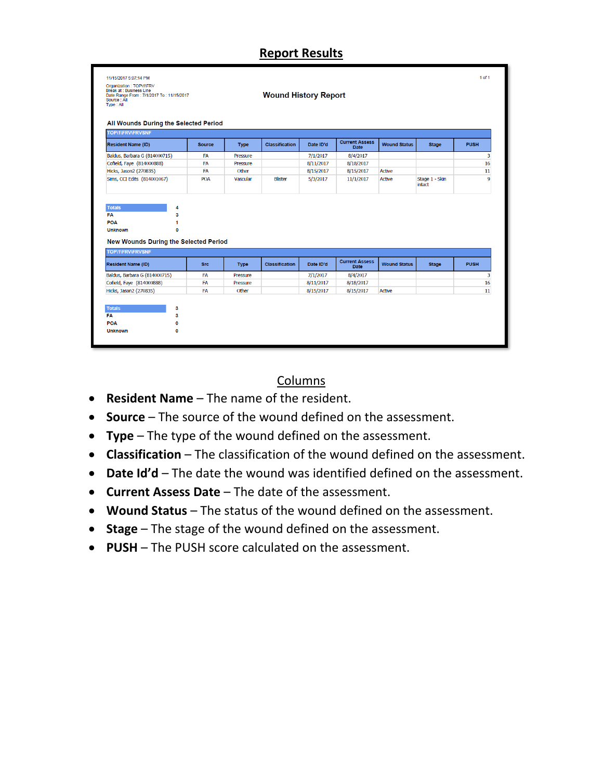# **Report Results**

| Organization : TOP\1\FRV<br>Break at: Business Line<br>Date Range From: 7/1/2017 To: 11/15/2017<br>Source: All<br>Type: All |               |             | <b>Wound History Report</b> |           |                               |                     |                          |             |
|-----------------------------------------------------------------------------------------------------------------------------|---------------|-------------|-----------------------------|-----------|-------------------------------|---------------------|--------------------------|-------------|
| All Wounds During the Selected Period<br><b>TOP\1\FRV\FRVSNF</b>                                                            |               |             |                             |           |                               |                     |                          |             |
| <b>Resident Name (ID)</b>                                                                                                   | <b>Source</b> | <b>Type</b> | <b>Classification</b>       | Date ID'd | <b>Current Assess</b><br>Date | <b>Wound Status</b> | <b>Stage</b>             | <b>PUSH</b> |
| Baldus, Barbara G (814000715)                                                                                               | <b>FA</b>     | Pressure    |                             | 7/1/2017  | 8/4/2017                      |                     |                          | 3           |
| Cofield, Faye (814000888)                                                                                                   | FA            | Pressure    |                             | 8/11/2017 | 8/18/2017                     |                     |                          | 16          |
| Hicks, Jason2 (270835)                                                                                                      | <b>FA</b>     | Other       |                             | 8/15/2017 | 8/15/2017                     | <b>Active</b>       |                          | 11          |
| Sims, CCI Edits (814001067)                                                                                                 | POA           | Vascular    | <b>Blister</b>              | 5/3/2017  | 11/1/2017                     | Active              | Stage 1 - Skin<br>intact | 9           |
| <b>Totals</b><br>FA<br>POA                                                                                                  | 4<br>3<br>1   |             |                             |           |                               |                     |                          |             |
| <b>Unknown</b><br><b>New Wounds During the Selected Period</b><br>TOP\1\FRV\FRVSNF                                          | 0             |             |                             |           |                               |                     |                          |             |
| <b>Resident Name (ID)</b>                                                                                                   | <b>Src</b>    | <b>Type</b> | <b>Classification</b>       | Date ID'd | <b>Current Assess</b><br>Date | <b>Wound Status</b> | <b>Stage</b>             | <b>PUSH</b> |
|                                                                                                                             | <b>FA</b>     | Pressure    |                             | 7/1/2017  | 8/4/2017                      |                     |                          | 3           |
| Baldus, Barbara G (814000715)<br>Cofield, Faye (814000888)                                                                  | <b>FA</b>     | Pressure    |                             | 8/11/2017 | 8/18/2017                     |                     |                          | 16          |
| Hicks, Jason2 (270835)                                                                                                      | <b>FA</b>     | Other       |                             | 8/15/2017 | 8/15/2017                     | <b>Active</b>       |                          | 11          |
|                                                                                                                             |               |             |                             |           |                               |                     |                          |             |
| <b>Totals</b>                                                                                                               | 3             |             |                             |           |                               |                     |                          |             |
| <b>FA</b><br>POA                                                                                                            | 3<br>0        |             |                             |           |                               |                     |                          |             |

#### Columns

- **Resident Name** The name of the resident.
- **Source** The source of the wound defined on the assessment.
- **Type** The type of the wound defined on the assessment.
- **Classification** The classification of the wound defined on the assessment.
- **Date Id'd** The date the wound was identified defined on the assessment.
- **Current Assess Date** The date of the assessment.
- **Wound Status** The status of the wound defined on the assessment.
- **Stage** The stage of the wound defined on the assessment.
- **PUSH** The PUSH score calculated on the assessment.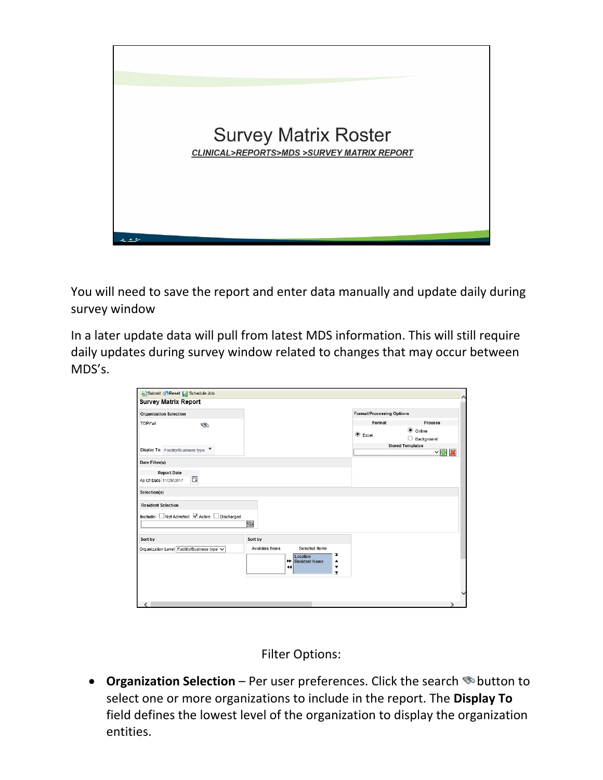

You will need to save the report and enter data manually and update daily during survey window

In a later update data will pull from latest MDS information. This will still require daily updates during survey window related to changes that may occur between MDS's.

| <b>Survey Matrix Report</b>                                            |                 |                                                  |                                                 |                                  |                                          |
|------------------------------------------------------------------------|-----------------|--------------------------------------------------|-------------------------------------------------|----------------------------------|------------------------------------------|
| <b>Organization Selection</b>                                          |                 |                                                  |                                                 | <b>Format/Processing Options</b> |                                          |
| TOP/*all<br>☜                                                          |                 |                                                  |                                                 | Format                           | Process                                  |
|                                                                        |                 |                                                  |                                                 | $\bullet$ Excel                  | <b>●</b> Online<br>$\bigcirc$ Background |
| Display To: Facility/Business type $\blacktriangledown$                |                 |                                                  |                                                 |                                  | <b>Stored Templates</b><br>▽團            |
| Date Filter(s)                                                         |                 |                                                  |                                                 |                                  |                                          |
| <b>Report Date</b><br>自<br>As Of Date 11/29/2017                       |                 |                                                  |                                                 |                                  |                                          |
| Selection(s)                                                           |                 |                                                  |                                                 |                                  |                                          |
| <b>Resident Selection</b><br>Include: Not Admitted Ø Active Discharged | ø               |                                                  |                                                 |                                  |                                          |
| Sort by                                                                | Sort by         |                                                  |                                                 |                                  |                                          |
| Organization Level Facility/Business type V                            | Available Items | Selected Items<br>Location<br>Resident Name<br>▸ | z<br>▲                                          |                                  |                                          |
|                                                                        |                 | ↤                                                | $\blacktriangledown$<br>$\overline{\mathbf{r}}$ |                                  |                                          |
|                                                                        |                 |                                                  |                                                 |                                  |                                          |
|                                                                        |                 |                                                  |                                                 |                                  |                                          |

Filter Options:

• **Organization Selection** – Per user preferences. Click the search **button to** select one or more organizations to include in the report. The **Display To** field defines the lowest level of the organization to display the organization entities.